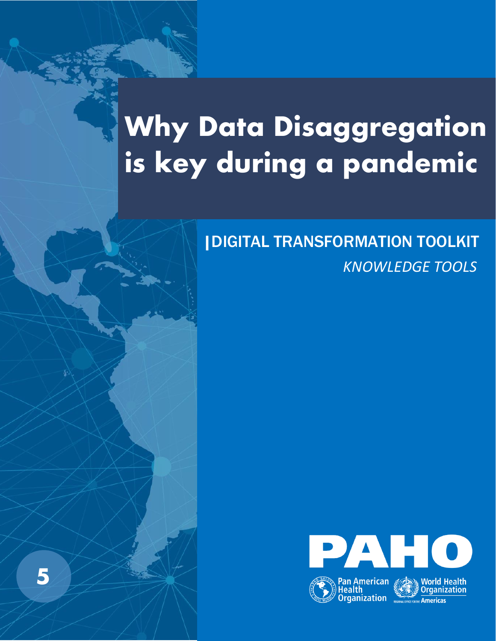# **Why Data Disaggregation is key during a pandemic**

**5** 

## *KNOWLEDGE TOOLS* |DIGITAL TRANSFORMATION TOOLKIT

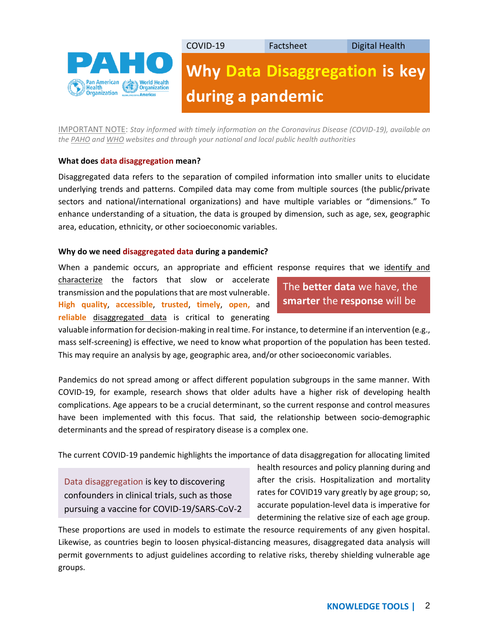

IMPORTANT NOTE: *Stay informed with timely information on the Coronavirus Disease (COVID-19), available on th[e PAHO](https://www.paho.org/en/topics/coronavirus-infections/coronavirus-disease-covid-19) an[d WHO](https://www.who.int/emergencies/diseases/novel-coronavirus-2019/advice-for-public) websites and through your national and local public health authorities*

#### **What does data disaggregation mean?**

Disaggregated data refers to the separation of compiled information into smaller units to elucidate underlying trends and patterns. Compiled data may come from multiple sources (the public/private sectors and national/international organizations) and have multiple variables or "dimensions." To enhance understanding of a situation, the data is grouped by dimension, such as age, sex, geographic area, education, ethnicity, or other socioeconomic variables.

#### **Why do we need disaggregated data during a pandemic?**

When a pandemic occurs, an appropriate and efficient response requires that we identify and

characterize the factors that slow or accelerate transmission and the populations that are most vulnerable. **High quality**, **accessible**, **trusted**, **timely**, **open,** and **reliable** disaggregated data is critical to generating

### The **better data** we have, the **smarter** the **response** will be

valuable information for decision-making in real time. For instance, to determine if an intervention (e.g., mass self-screening) is effective, we need to know what proportion of the population has been tested. This may require an analysis by age, geographic area, and/or other socioeconomic variables.

Pandemics do not spread among or affect different population subgroups in the same manner. With COVID-19, for example, research shows that older adults have a higher risk of developing health complications. Age appears to be a crucial determinant, so the current response and control measures have been implemented with this focus. That said, the relationship between socio-demographic determinants and the spread of respiratory disease is a complex one.

The current COVID-19 pandemic highlights the importance of data disaggregation for allocating limited

Data disaggregation is key to discovering confounders in clinical trials, such as those pursuing a vaccine for COVID-19/SARS-CoV-2 health resources and policy planning during and after the crisis. Hospitalization and mortality rates for COVID19 vary greatly by age group; so, accurate population-level data is imperative for determining the relative size of each age group.

These proportions are used in models to estimate the resource requirements of any given hospital. Likewise, as countries begin to loosen physical-distancing measures, disaggregated data analysis will permit governments to adjust guidelines according to relative risks, thereby shielding vulnerable age groups.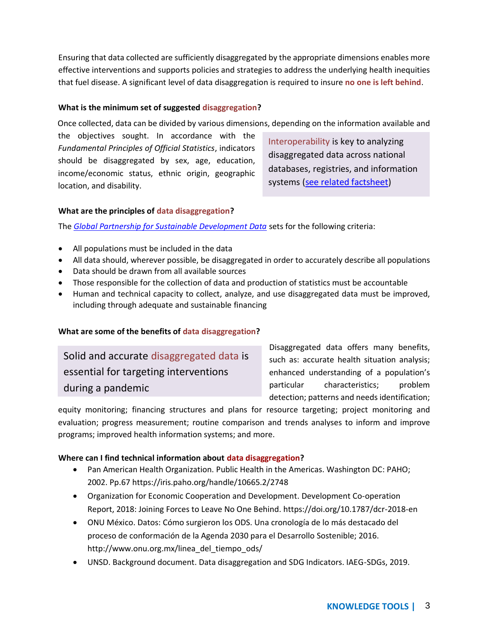Ensuring that data collected are sufficiently disaggregated by the appropriate dimensions enables more effective interventions and supports policies and strategies to address the underlying health inequities that fuel disease. A significant level of data disaggregation is required to insure **no one is left behind**.

#### **What is the minimum set of suggested disaggregation?**

Once collected, data can be divided by various dimensions, depending on the information available and

the objectives sought. In accordance with the *Fundamental Principles of Official Statistics*, indicators should be disaggregated by sex, age, education, income/economic status, ethnic origin, geographic location, and disability.

Interoperability is key to analyzing disaggregated data across national databases, registries, and information systems [\(see related factsheet\)](https://www.paho.org/ish/images/docs/Factsheets-Digital_Health-EHR-Interoperability-English-Final-March_31.pdf?ua=1)

#### **What are the principles of data disaggregation?**

The *Global Partnership for Sustainable Development Data* sets for the following criteria:

- All populations must be included in the data
- All data should, wherever possible, be disaggregated in order to accurately describe all populations
- Data should be drawn from all available sources
- Those responsible for the collection of data and production of statistics must be accountable
- Human and technical capacity to collect, analyze, and use disaggregated data must be improved, including through adequate and sustainable financing

#### **What are some of the benefits of data disaggregation?**

Solid and accurate disaggregated data is essential for targeting interventions during a pandemic

Disaggregated data offers many benefits, such as: accurate health situation analysis; enhanced understanding of a population's particular characteristics; problem detection; patterns and needs identification;

equity monitoring; financing structures and plans for resource targeting; project monitoring and evaluation; progress measurement; routine comparison and trends analyses to inform and improve programs; improved health information systems; and more.

#### **Where can I find technical information about data disaggregation?**

- Pan American Health Organization. Public Health in the Americas. Washington DC: PAHO; 2002. Pp.67 <https://iris.paho.org/handle/10665.2/2748>
- Organization for Economic Cooperation and Development. Development Co-operation Report, 2018: Joining Forces to Leave No One Behind. <https://doi.org/10.1787/dcr-2018-en>
- ONU México. Datos: Cómo surgieron los ODS. Una cronología de lo más destacado del proceso de conformación de la Agenda 2030 para el Desarrollo Sostenible; 2016. [http://www.onu.org.mx/linea\\_del\\_tiempo\\_ods/](http://www.onu.org.mx/linea_del_tiempo_ods/)
- UNSD. Background document. Data disaggregation and SDG Indicators. IAEG-SDGs, 2019.